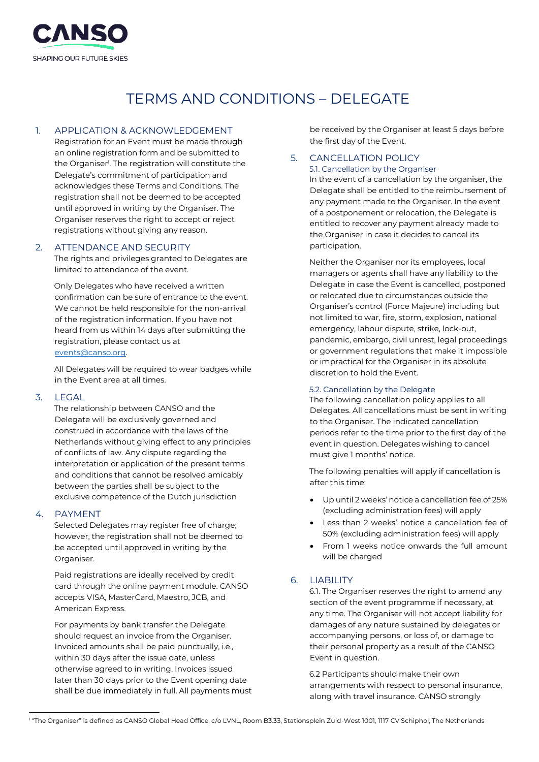

# TERMS AND CONDITIONS – DELEGATE

# 1. APPLICATION & ACKNOWLEDGEMENT

Registration for an Event must be made through an online registration form and be submitted to the Organiser<sup>1</sup>. The registration will constitute the Delegate's commitment of participation and acknowledges these Terms and Conditions. The registration shall not be deemed to be accepted until approved in writing by the Organiser. The Organiser reserves the right to accept or reject registrations without giving any reason.

## 2. ATTENDANCE AND SECURITY

The rights and privileges granted to Delegates are limited to attendance of the event.

Only Delegates who have received a written confirmation can be sure of entrance to the event. We cannot be held responsible for the non-arrival of the registration information. If you have not heard from us within 14 days after submitting the registration, please contact us at [events@canso.org.](mailto:events@canso.org) 

All Delegates will be required to wear badges while in the Event area at all times.

## 3. LEGAL

The relationship between CANSO and the Delegate will be exclusively governed and construed in accordance with the laws of the Netherlands without giving effect to any principles of conflicts of law. Any dispute regarding the interpretation or application of the present terms and conditions that cannot be resolved amicably between the parties shall be subject to the exclusive competence of the Dutch jurisdiction

## 4. PAYMENT

Selected Delegates may register free of charge; however, the registration shall not be deemed to be accepted until approved in writing by the Organiser.

Paid registrations are ideally received by credit card through the online payment module. CANSO accepts VISA, MasterCard, Maestro, JCB, and American Express.

For payments by bank transfer the Delegate should request an invoice from the Organiser. Invoiced amounts shall be paid punctually, i.e., within 30 days after the issue date, unless otherwise agreed to in writing. Invoices issued later than 30 days prior to the Event opening date shall be due immediately in full. All payments must

be received by the Organiser at least 5 days before the first day of the Event.

## 5. CANCELLATION POLICY

5.1. Cancellation by the Organiser

In the event of a cancellation by the organiser, the Delegate shall be entitled to the reimbursement of any payment made to the Organiser. In the event of a postponement or relocation, the Delegate is entitled to recover any payment already made to the Organiser in case it decides to cancel its participation.

Neither the Organiser nor its employees, local managers or agents shall have any liability to the Delegate in case the Event is cancelled, postponed or relocated due to circumstances outside the Organiser's control (Force Majeure) including but not limited to war, fire, storm, explosion, national emergency, labour dispute, strike, lock-out, pandemic, embargo, civil unrest, legal proceedings or government regulations that make it impossible or impractical for the Organiser in its absolute discretion to hold the Event.

#### 5.2. Cancellation by the Delegate

The following cancellation policy applies to all Delegates. All cancellations must be sent in writing to the Organiser. The indicated cancellation periods refer to the time prior to the first day of the event in question. Delegates wishing to cancel must give 1 months' notice.

The following penalties will apply if cancellation is after this time:

- Up until 2 weeks' notice a cancellation fee of 25% (excluding administration fees) will apply
- Less than 2 weeks' notice a cancellation fee of 50% (excluding administration fees) will apply
- From 1 weeks notice onwards the full amount will be charged

# 6. LIABILITY

6.1. The Organiser reserves the right to amend any section of the event programme if necessary, at any time. The Organiser will not accept liability for damages of any nature sustained by delegates or accompanying persons, or loss of, or damage to their personal property as a result of the CANSO Event in question.

6.2 Participants should make their own arrangements with respect to personal insurance, along with travel insurance. CANSO strongly

<sup>1</sup> "The Organiser" is defined as CANSO Global Head Office, c/o LVNL, Room B3.33, Stationsplein Zuid-West 1001, 1117 CV Schiphol, The Netherlands